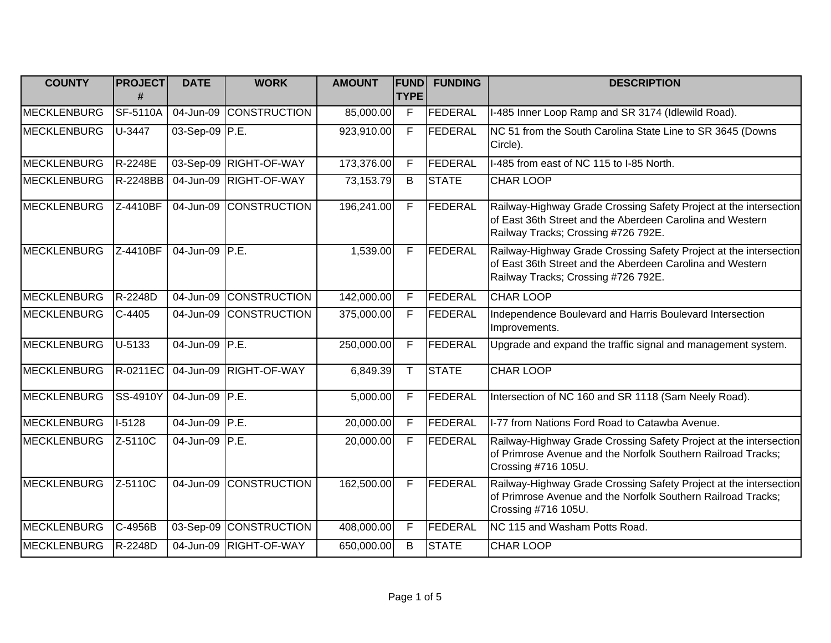| <b>COUNTY</b>      | <b>PROJECT</b><br># | <b>DATE</b>    | <b>WORK</b>            | <b>AMOUNT</b> | <b>FUNDI</b><br><b>TYPE</b> | <b>FUNDING</b> | <b>DESCRIPTION</b>                                                                                                                                                    |
|--------------------|---------------------|----------------|------------------------|---------------|-----------------------------|----------------|-----------------------------------------------------------------------------------------------------------------------------------------------------------------------|
| MECKLENBURG        | <b>SF-5110A</b>     | 04-Jun-09      | <b>CONSTRUCTION</b>    | 85,000.00     | F                           | FEDERAL        | I-485 Inner Loop Ramp and SR 3174 (Idlewild Road).                                                                                                                    |
| <b>MECKLENBURG</b> | U-3447              | 03-Sep-09 P.E. |                        | 923,910.00    | F                           | FEDERAL        | NC 51 from the South Carolina State Line to SR 3645 (Downs<br>Circle).                                                                                                |
| <b>MECKLENBURG</b> | R-2248E             |                | 03-Sep-09 RIGHT-OF-WAY | 173,376.00    | F                           | FEDERAL        | I-485 from east of NC 115 to I-85 North.                                                                                                                              |
| MECKLENBURG        | R-2248BB            | 04-Jun-09      | RIGHT-OF-WAY           | 73,153.79     | B                           | <b>STATE</b>   | <b>CHAR LOOP</b>                                                                                                                                                      |
| MECKLENBURG        | Z-4410BF            | 04-Jun-09      | <b>CONSTRUCTION</b>    | 196,241.00    | F                           | FEDERAL        | Railway-Highway Grade Crossing Safety Project at the intersection<br>of East 36th Street and the Aberdeen Carolina and Western<br>Railway Tracks; Crossing #726 792E. |
| <b>MECKLENBURG</b> | Z-4410BF            | 04-Jun-09 P.E. |                        | 1,539.00      | F                           | FEDERAL        | Railway-Highway Grade Crossing Safety Project at the intersection<br>of East 36th Street and the Aberdeen Carolina and Western<br>Railway Tracks; Crossing #726 792E. |
| <b>MECKLENBURG</b> | R-2248D             | 04-Jun-09      | <b>CONSTRUCTION</b>    | 142,000.00    | F                           | FEDERAL        | <b>CHAR LOOP</b>                                                                                                                                                      |
| <b>MECKLENBURG</b> | C-4405              |                | 04-Jun-09 CONSTRUCTION | 375,000.00    | F                           | FEDERAL        | Independence Boulevard and Harris Boulevard Intersection<br>Improvements.                                                                                             |
| <b>MECKLENBURG</b> | U-5133              | 04-Jun-09 P.E. |                        | 250,000.00    | E                           | FEDERAL        | Upgrade and expand the traffic signal and management system.                                                                                                          |
| <b>MECKLENBURG</b> | R-0211EC            |                | 04-Jun-09 RIGHT-OF-WAY | 6,849.39      | $\mathsf{T}$                | <b>STATE</b>   | <b>CHAR LOOP</b>                                                                                                                                                      |
| <b>MECKLENBURG</b> | SS-4910Y            | 04-Jun-09 P.E. |                        | 5,000.00      | F                           | FEDERAL        | Intersection of NC 160 and SR 1118 (Sam Neely Road).                                                                                                                  |
| <b>MECKLENBURG</b> | $I-5128$            | 04-Jun-09 P.E. |                        | 20,000.00     | F.                          | FEDERAL        | I-77 from Nations Ford Road to Catawba Avenue.                                                                                                                        |
| <b>MECKLENBURG</b> | Z-5110C             | 04-Jun-09 P.E. |                        | 20,000.00     | F                           | FEDERAL        | Railway-Highway Grade Crossing Safety Project at the intersection<br>of Primrose Avenue and the Norfolk Southern Railroad Tracks;<br>Crossing #716 105U.              |
| <b>MECKLENBURG</b> | Z-5110C             | 04-Jun-09      | <b>CONSTRUCTION</b>    | 162,500.00    | F                           | FEDERAL        | Railway-Highway Grade Crossing Safety Project at the intersection<br>of Primrose Avenue and the Norfolk Southern Railroad Tracks;<br>Crossing #716 105U.              |
| <b>MECKLENBURG</b> | C-4956B             |                | 03-Sep-09 CONSTRUCTION | 408,000.00    | F                           | FEDERAL        | NC 115 and Washam Potts Road.                                                                                                                                         |
| <b>MECKLENBURG</b> | R-2248D             |                | 04-Jun-09 RIGHT-OF-WAY | 650,000.00    | B                           | <b>STATE</b>   | <b>CHAR LOOP</b>                                                                                                                                                      |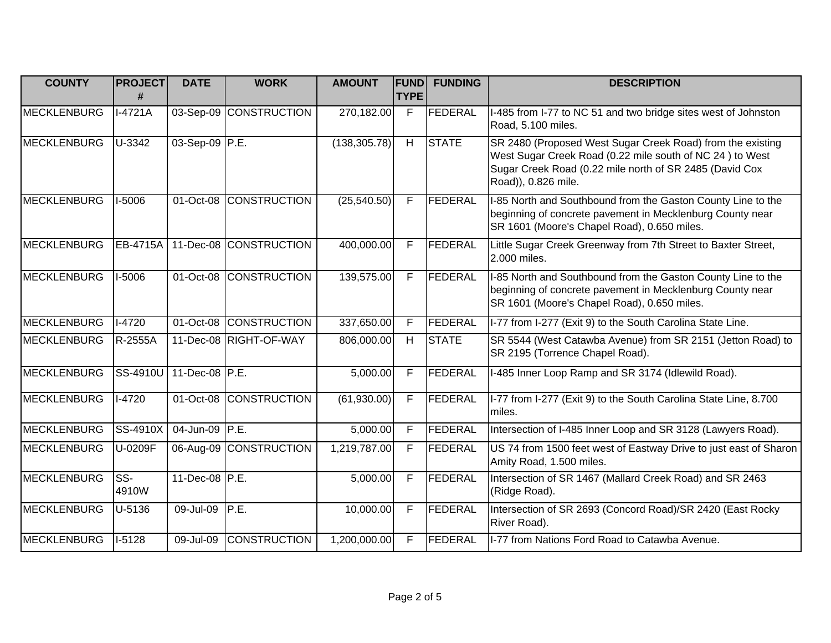| <b>COUNTY</b>      | <b>PROJECT</b> | <b>DATE</b>    | <b>WORK</b>            | <b>AMOUNT</b> | <b> FUND </b> | <b>FUNDING</b> | <b>DESCRIPTION</b>                                                                                                                                                                                       |
|--------------------|----------------|----------------|------------------------|---------------|---------------|----------------|----------------------------------------------------------------------------------------------------------------------------------------------------------------------------------------------------------|
|                    | #              |                |                        |               | <b>TYPE</b>   |                |                                                                                                                                                                                                          |
| <b>MECKLENBURG</b> | $I-4721A$      |                | 03-Sep-09 CONSTRUCTION | 270,182.00    | $\mathsf F$   | FEDERAL        | I-485 from I-77 to NC 51 and two bridge sites west of Johnston<br>Road, 5.100 miles.                                                                                                                     |
| <b>MECKLENBURG</b> | U-3342         | 03-Sep-09 P.E. |                        | (138, 305.78) | H             | <b>STATE</b>   | SR 2480 (Proposed West Sugar Creek Road) from the existing<br>West Sugar Creek Road (0.22 mile south of NC 24) to West<br>Sugar Creek Road (0.22 mile north of SR 2485 (David Cox<br>Road)), 0.826 mile. |
| <b>MECKLENBURG</b> | $I-5006$       | 01-Oct-08      | <b>CONSTRUCTION</b>    | (25, 540.50)  | F             | FEDERAL        | I-85 North and Southbound from the Gaston County Line to the<br>beginning of concrete pavement in Mecklenburg County near<br>SR 1601 (Moore's Chapel Road), 0.650 miles.                                 |
| MECKLENBURG        | EB-4715A       |                | 11-Dec-08 CONSTRUCTION | 400,000.00    | F             | FEDERAL        | Little Sugar Creek Greenway from 7th Street to Baxter Street,<br>2.000 miles.                                                                                                                            |
| <b>MECKLENBURG</b> | I-5006         | 01-Oct-08      | <b>CONSTRUCTION</b>    | 139,575.00    | F             | FEDERAL        | I-85 North and Southbound from the Gaston County Line to the<br>beginning of concrete pavement in Mecklenburg County near<br>SR 1601 (Moore's Chapel Road), 0.650 miles.                                 |
| <b>MECKLENBURG</b> | $I-4720$       | 01-Oct-08      | <b>CONSTRUCTION</b>    | 337,650.00    | F             | FEDERAL        | I-77 from I-277 (Exit 9) to the South Carolina State Line.                                                                                                                                               |
| <b>MECKLENBURG</b> | R-2555A        |                | 11-Dec-08 RIGHT-OF-WAY | 806,000.00    | H             | <b>STATE</b>   | SR 5544 (West Catawba Avenue) from SR 2151 (Jetton Road) to<br>SR 2195 (Torrence Chapel Road).                                                                                                           |
| <b>MECKLENBURG</b> | SS-4910U       | 11-Dec-08 P.E. |                        | 5,000.00      | F             | FEDERAL        | I-485 Inner Loop Ramp and SR 3174 (Idlewild Road).                                                                                                                                                       |
| <b>MECKLENBURG</b> | $I-4720$       | 01-Oct-08      | <b>CONSTRUCTION</b>    | (61,930.00)   | F             | FEDERAL        | I-77 from I-277 (Exit 9) to the South Carolina State Line, 8.700<br>miles.                                                                                                                               |
| <b>MECKLENBURG</b> | SS-4910X       | 04-Jun-09 P.E. |                        | 5,000.00      | F             | FEDERAL        | Intersection of I-485 Inner Loop and SR 3128 (Lawyers Road).                                                                                                                                             |
| <b>MECKLENBURG</b> | U-0209F        |                | 06-Aug-09 CONSTRUCTION | 1,219,787.00  | F             | FEDERAL        | US 74 from 1500 feet west of Eastway Drive to just east of Sharon<br>Amity Road, 1.500 miles.                                                                                                            |
| <b>MECKLENBURG</b> | $SS-$<br>4910W | 11-Dec-08 P.E. |                        | 5,000.00      | F             | FEDERAL        | Intersection of SR 1467 (Mallard Creek Road) and SR 2463<br>(Ridge Road).                                                                                                                                |
| <b>MECKLENBURG</b> | U-5136         | 09-Jul-09      | P.E.                   | 10,000.00     | F             | FEDERAL        | Intersection of SR 2693 (Concord Road)/SR 2420 (East Rocky<br>River Road).                                                                                                                               |
| <b>MECKLENBURG</b> | $I-5128$       | 09-Jul-09      | <b>CONSTRUCTION</b>    | 1,200,000.00  | F             | FEDERAL        | II-77 from Nations Ford Road to Catawba Avenue.                                                                                                                                                          |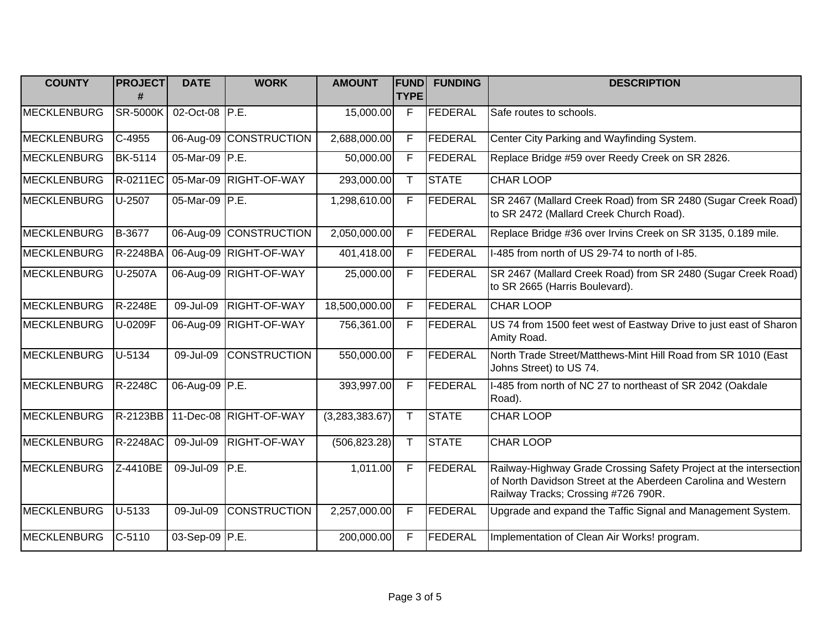| <b>COUNTY</b>      | <b>PROJECT</b><br># | <b>DATE</b>    | <b>WORK</b>            | <b>AMOUNT</b>  | <b>FUND</b><br><b>TYPE</b> | <b>FUNDING</b> | <b>DESCRIPTION</b>                                                                                                                                                        |
|--------------------|---------------------|----------------|------------------------|----------------|----------------------------|----------------|---------------------------------------------------------------------------------------------------------------------------------------------------------------------------|
| <b>MECKLENBURG</b> | <b>SR-5000K</b>     | 02-Oct-08 P.E. |                        | 15,000.00      | F                          | FEDERAL        | Safe routes to schools.                                                                                                                                                   |
| <b>MECKLENBURG</b> | C-4955              |                | 06-Aug-09 CONSTRUCTION | 2,688,000.00   | E                          | FEDERAL        | Center City Parking and Wayfinding System.                                                                                                                                |
| <b>MECKLENBURG</b> | <b>BK-5114</b>      | 05-Mar-09 P.E. |                        | 50,000.00      | F                          | FEDERAL        | Replace Bridge #59 over Reedy Creek on SR 2826.                                                                                                                           |
| <b>MECKLENBURG</b> | R-0211EC            |                | 05-Mar-09 RIGHT-OF-WAY | 293,000.00     | $\mathsf{T}$               | <b>STATE</b>   | <b>CHAR LOOP</b>                                                                                                                                                          |
| <b>MECKLENBURG</b> | $U-2507$            | 05-Mar-09 P.E. |                        | 1,298,610.00   | F                          | FEDERAL        | SR 2467 (Mallard Creek Road) from SR 2480 (Sugar Creek Road)<br>to SR 2472 (Mallard Creek Church Road).                                                                   |
| <b>MECKLENBURG</b> | B-3677              |                | 06-Aug-09 CONSTRUCTION | 2,050,000.00   | F.                         | FEDERAL        | Replace Bridge #36 over Irvins Creek on SR 3135, 0.189 mile.                                                                                                              |
| <b>MECKLENBURG</b> | R-2248BA            |                | 06-Aug-09 RIGHT-OF-WAY | 401,418.00     | F.                         | FEDERAL        | I-485 from north of US 29-74 to north of I-85.                                                                                                                            |
| <b>MECKLENBURG</b> | U-2507A             |                | 06-Aug-09 RIGHT-OF-WAY | 25,000.00      | F                          | FEDERAL        | SR 2467 (Mallard Creek Road) from SR 2480 (Sugar Creek Road)<br>to SR 2665 (Harris Boulevard).                                                                            |
| <b>MECKLENBURG</b> | R-2248E             | 09-Jul-09      | <b>RIGHT-OF-WAY</b>    | 18,500,000.00  | E                          | FEDERAL        | <b>CHAR LOOP</b>                                                                                                                                                          |
| <b>MECKLENBURG</b> | U-0209F             |                | 06-Aug-09 RIGHT-OF-WAY | 756,361.00     | F                          | FEDERAL        | US 74 from 1500 feet west of Eastway Drive to just east of Sharon<br>Amity Road.                                                                                          |
| <b>MECKLENBURG</b> | U-5134              | 09-Jul-09      | <b>CONSTRUCTION</b>    | 550,000.00     | F                          | FEDERAL        | North Trade Street/Matthews-Mint Hill Road from SR 1010 (East<br>Johns Street) to US 74.                                                                                  |
| <b>MECKLENBURG</b> | R-2248C             | 06-Aug-09 P.E. |                        | 393,997.00     | F                          | FEDERAL        | I-485 from north of NC 27 to northeast of SR 2042 (Oakdale<br>Road).                                                                                                      |
| <b>MECKLENBURG</b> | R-2123BB            |                | 11-Dec-08 RIGHT-OF-WAY | (3,283,383.67) | $\top$                     | <b>STATE</b>   | CHAR LOOP                                                                                                                                                                 |
| <b>MECKLENBURG</b> | R-2248AC            | 09-Jul-09      | <b>RIGHT-OF-WAY</b>    | (506, 823.28)  | $\mathsf{T}$               | <b>STATE</b>   | <b>CHAR LOOP</b>                                                                                                                                                          |
| <b>MECKLENBURG</b> | Z-4410BE            | 09-Jul-09 P.E. |                        | 1,011.00       | F                          | FEDERAL        | Railway-Highway Grade Crossing Safety Project at the intersection<br>of North Davidson Street at the Aberdeen Carolina and Western<br>Railway Tracks; Crossing #726 790R. |
| MECKLENBURG        | U-5133              | 09-Jul-09      | <b>CONSTRUCTION</b>    | 2,257,000.00   | F                          | <b>FEDERAL</b> | Upgrade and expand the Taffic Signal and Management System.                                                                                                               |
| <b>MECKLENBURG</b> | $C-5110$            | 03-Sep-09 P.E. |                        | 200,000.00     | F                          | FEDERAL        | Implementation of Clean Air Works! program.                                                                                                                               |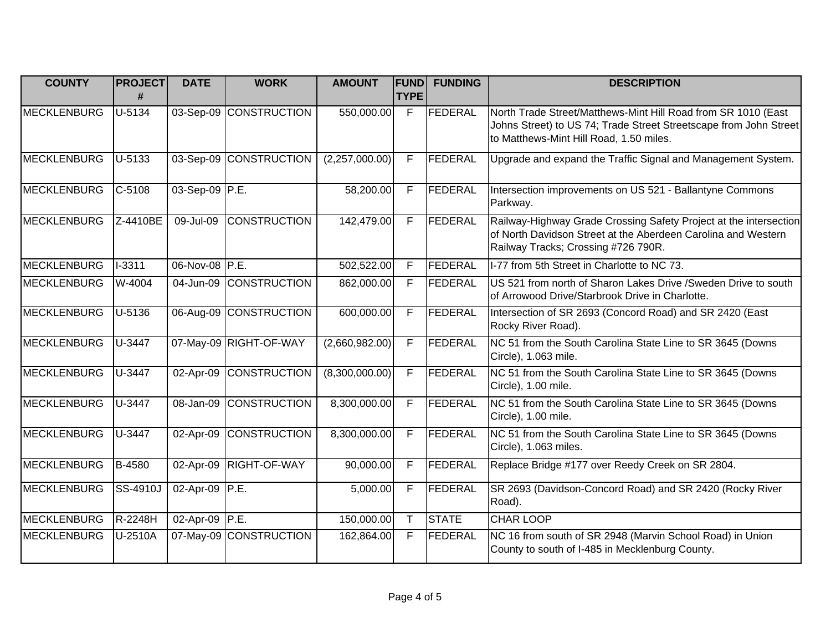| <b>COUNTY</b>      | <b>PROJECT</b> | <b>DATE</b>    | <b>WORK</b>            | <b>AMOUNT</b>  | <b>FUND</b>  | <b>FUNDING</b> | <b>DESCRIPTION</b>                                                                                                                                                        |
|--------------------|----------------|----------------|------------------------|----------------|--------------|----------------|---------------------------------------------------------------------------------------------------------------------------------------------------------------------------|
|                    | #              |                |                        |                | <b>TYPE</b>  |                |                                                                                                                                                                           |
| <b>MECKLENBURG</b> | $U-5134$       |                | 03-Sep-09 CONSTRUCTION | 550,000.00     | $\mathsf{F}$ | FEDERAL        | North Trade Street/Matthews-Mint Hill Road from SR 1010 (East<br>Johns Street) to US 74; Trade Street Streetscape from John Street                                        |
|                    |                |                |                        |                |              |                | to Matthews-Mint Hill Road, 1.50 miles.                                                                                                                                   |
| <b>MECKLENBURG</b> | U-5133         |                | 03-Sep-09 CONSTRUCTION | (2,257,000.00) | F            | FEDERAL        | Upgrade and expand the Traffic Signal and Management System.                                                                                                              |
| <b>MECKLENBURG</b> | C-5108         | 03-Sep-09 P.E. |                        | 58,200.00      | $\mathsf F$  | FEDERAL        | Intersection improvements on US 521 - Ballantyne Commons<br>Parkway.                                                                                                      |
| <b>MECKLENBURG</b> | Z-4410BE       | 09-Jul-09      | <b>CONSTRUCTION</b>    | 142,479.00     | F            | FEDERAL        | Railway-Highway Grade Crossing Safety Project at the intersection<br>of North Davidson Street at the Aberdeen Carolina and Western<br>Railway Tracks; Crossing #726 790R. |
| <b>MECKLENBURG</b> | $I - 3311$     | 06-Nov-08 P.E. |                        | 502,522.00     | F            | FEDERAL        | I-77 from 5th Street in Charlotte to NC 73.                                                                                                                               |
| <b>MECKLENBURG</b> | W-4004         |                | 04-Jun-09 CONSTRUCTION | 862,000.00     | E            | FEDERAL        | US 521 from north of Sharon Lakes Drive / Sweden Drive to south<br>of Arrowood Drive/Starbrook Drive in Charlotte.                                                        |
| <b>MECKLENBURG</b> | U-5136         |                | 06-Aug-09 CONSTRUCTION | 600,000.00     | F            | FEDERAL        | Intersection of SR 2693 (Concord Road) and SR 2420 (East<br>Rocky River Road).                                                                                            |
| <b>MECKLENBURG</b> | U-3447         |                | 07-May-09 RIGHT-OF-WAY | (2,660,982.00) | E            | FEDERAL        | NC 51 from the South Carolina State Line to SR 3645 (Downs<br>Circle), 1.063 mile.                                                                                        |
| <b>MECKLENBURG</b> | U-3447         | 02-Apr-09      | <b>CONSTRUCTION</b>    | (8,300,000.00) | F            | FEDERAL        | NC 51 from the South Carolina State Line to SR 3645 (Downs<br>Circle), 1.00 mile.                                                                                         |
| <b>MECKLENBURG</b> | U-3447         | 08-Jan-09      | <b>CONSTRUCTION</b>    | 8,300,000.00   | E            | FEDERAL        | NC 51 from the South Carolina State Line to SR 3645 (Downs<br>Circle), 1.00 mile.                                                                                         |
| <b>MECKLENBURG</b> | U-3447         | 02-Apr-09      | CONSTRUCTION           | 8,300,000.00   | F            | FEDERAL        | NC 51 from the South Carolina State Line to SR 3645 (Downs<br>Circle), 1.063 miles.                                                                                       |
| <b>MECKLENBURG</b> | B-4580         | 02-Apr-09      | <b>RIGHT-OF-WAY</b>    | 90,000.00      | F            | FEDERAL        | Replace Bridge #177 over Reedy Creek on SR 2804.                                                                                                                          |
| MECKLENBURG        | SS-4910J       | 02-Apr-09 P.E. |                        | 5,000.00       | F            | FEDERAL        | SR 2693 (Davidson-Concord Road) and SR 2420 (Rocky River<br>Road).                                                                                                        |
| <b>MECKLENBURG</b> | R-2248H        | 02-Apr-09 P.E. |                        | 150,000.00     | T.           | <b>STATE</b>   | <b>CHAR LOOP</b>                                                                                                                                                          |
| <b>MECKLENBURG</b> | U-2510A        |                | 07-May-09 CONSTRUCTION | 162,864.00     | $\mathsf{F}$ | FEDERAL        | NC 16 from south of SR 2948 (Marvin School Road) in Union<br>County to south of I-485 in Mecklenburg County.                                                              |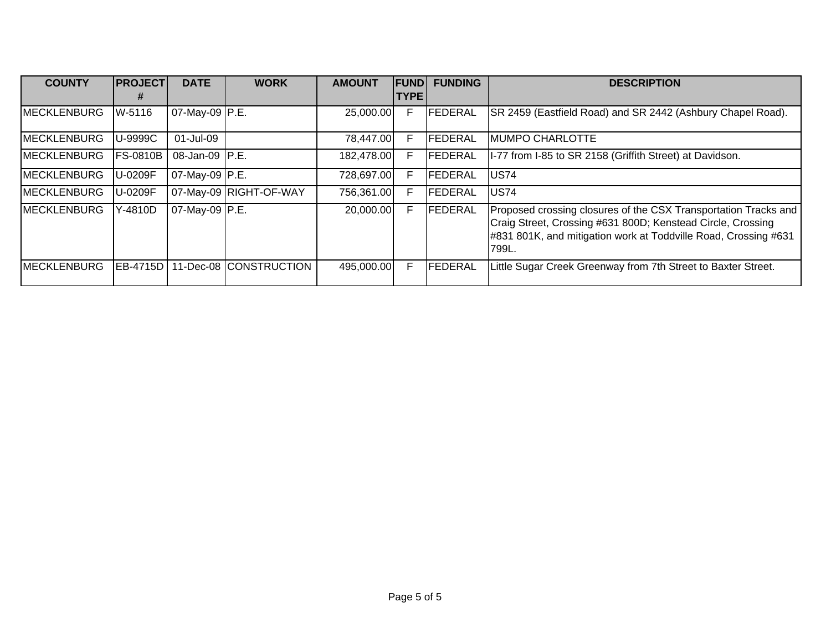| <b>COUNTY</b>       | <b>PROJECT</b>   | <b>DATE</b>    | <b>WORK</b>            | <b>AMOUNT</b> | <b>FUND</b> | <b>FUNDING</b>  | <b>DESCRIPTION</b>                                                                                                                                                                                         |
|---------------------|------------------|----------------|------------------------|---------------|-------------|-----------------|------------------------------------------------------------------------------------------------------------------------------------------------------------------------------------------------------------|
|                     |                  |                |                        |               | <b>TYPE</b> |                 |                                                                                                                                                                                                            |
| <b>MECKLENBURG</b>  | W-5116           | 07-May-09 P.E. |                        | 25,000.00     | F           | FEDERAL         | SR 2459 (Eastfield Road) and SR 2442 (Ashbury Chapel Road).                                                                                                                                                |
| <b>MECKLENBURG</b>  | U-9999C          | 01-Jul-09      |                        | 78,447.00     | F.          | <b>IFEDERAL</b> | MUMPO CHARLOTTE                                                                                                                                                                                            |
| <b>MECKLENBURG</b>  | <b>IFS-0810B</b> | 08-Jan-09 P.E. |                        | 182,478.00    | F           | FEDERAL         | II-77 from I-85 to SR 2158 (Griffith Street) at Davidson.                                                                                                                                                  |
| <b>MECKLENBURG</b>  | U-0209F          | 07-May-09 P.E. |                        | 728,697.00    | F.          | <b>IFEDERAL</b> | <b>US74</b>                                                                                                                                                                                                |
| <b>MECKLENBURG</b>  | U-0209F          |                | 07-May-09 RIGHT-OF-WAY | 756,361.00    | F.          | <b>IFEDERAL</b> | <b>US74</b>                                                                                                                                                                                                |
| <b>MECKLENBURG</b>  | Y-4810D          | 07-May-09 P.E. |                        | 20,000.00     | F.          | FEDERAL         | Proposed crossing closures of the CSX Transportation Tracks and<br>Craig Street, Crossing #631 800D; Kenstead Circle, Crossing<br>#831 801K, and mitigation work at Toddville Road, Crossing #631<br>799L. |
| <b>IMECKLENBURG</b> | <b>EB-4715D</b>  |                | 11-Dec-08 CONSTRUCTION | 495,000.00    | F.          | FEDERAL         | Little Sugar Creek Greenway from 7th Street to Baxter Street.                                                                                                                                              |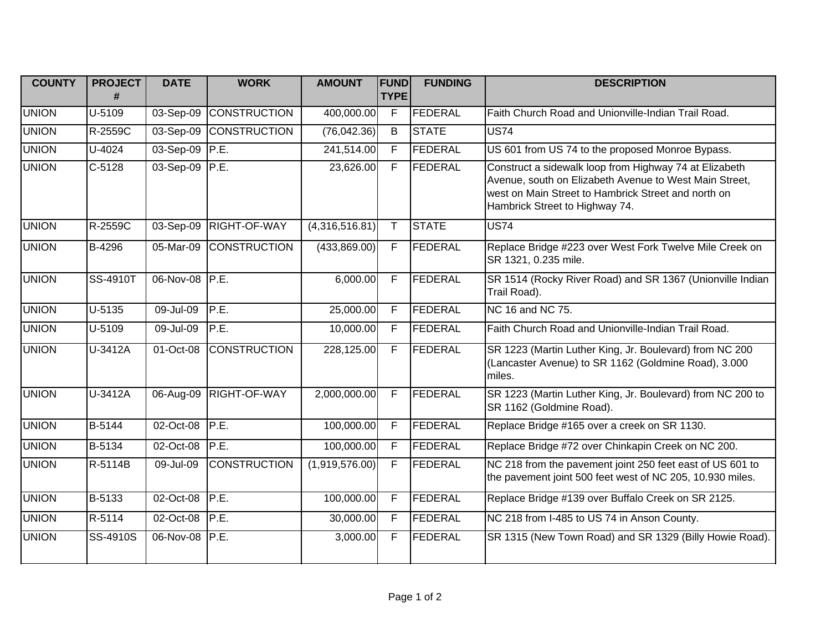| <b>COUNTY</b> | <b>PROJECT</b><br># | <b>DATE</b>    | <b>WORK</b>         | <b>AMOUNT</b>  | <b>FUND</b><br><b>TYPE</b> | <b>FUNDING</b> | <b>DESCRIPTION</b>                                                                                                                                                                                        |
|---------------|---------------------|----------------|---------------------|----------------|----------------------------|----------------|-----------------------------------------------------------------------------------------------------------------------------------------------------------------------------------------------------------|
| <b>UNION</b>  | U-5109              | 03-Sep-09      | <b>CONSTRUCTION</b> | 400,000.00     | $\overline{F}$             | FEDERAL        | Faith Church Road and Unionville-Indian Trail Road.                                                                                                                                                       |
| <b>UNION</b>  | R-2559C             | 03-Sep-09      | <b>CONSTRUCTION</b> | (76,042.36)    | B                          | <b>STATE</b>   | <b>US74</b>                                                                                                                                                                                               |
| <b>UNION</b>  | $U - 4024$          | 03-Sep-09      | P.E.                | 241,514.00     | $\overline{F}$             | FEDERAL        | US 601 from US 74 to the proposed Monroe Bypass.                                                                                                                                                          |
| <b>UNION</b>  | $C-5128$            | 03-Sep-09 P.E. |                     | 23,626.00      | F                          | FEDERAL        | Construct a sidewalk loop from Highway 74 at Elizabeth<br>Avenue, south on Elizabeth Avenue to West Main Street,<br>west on Main Street to Hambrick Street and north on<br>Hambrick Street to Highway 74. |
| <b>UNION</b>  | R-2559C             | 03-Sep-09      | RIGHT-OF-WAY        | (4,316,516.81) | $\mathsf{T}$               | <b>STATE</b>   | <b>US74</b>                                                                                                                                                                                               |
| <b>UNION</b>  | B-4296              | 05-Mar-09      | <b>CONSTRUCTION</b> | (433, 869.00)  | F                          | <b>FEDERAL</b> | Replace Bridge #223 over West Fork Twelve Mile Creek on<br>SR 1321, 0.235 mile.                                                                                                                           |
| <b>UNION</b>  | SS-4910T            | 06-Nov-08      | P.E.                | 6,000.00       | $\mathsf{F}$               | FEDERAL        | SR 1514 (Rocky River Road) and SR 1367 (Unionville Indian<br>Trail Road).                                                                                                                                 |
| <b>UNION</b>  | U-5135              | 09-Jul-09      | P.E.                | 25,000.00      | F                          | FEDERAL        | NC 16 and NC 75.                                                                                                                                                                                          |
| <b>UNION</b>  | U-5109              | 09-Jul-09      | P.E.                | 10,000.00      | $\overline{F}$             | FEDERAL        | Faith Church Road and Unionville-Indian Trail Road.                                                                                                                                                       |
| <b>UNION</b>  | U-3412A             | 01-Oct-08      | <b>CONSTRUCTION</b> | 228,125.00     | F                          | FEDERAL        | SR 1223 (Martin Luther King, Jr. Boulevard) from NC 200<br>(Lancaster Avenue) to SR 1162 (Goldmine Road), 3.000<br>miles.                                                                                 |
| <b>UNION</b>  | U-3412A             | 06-Aug-09      | RIGHT-OF-WAY        | 2,000,000.00   | F                          | FEDERAL        | SR 1223 (Martin Luther King, Jr. Boulevard) from NC 200 to<br>SR 1162 (Goldmine Road).                                                                                                                    |
| <b>UNION</b>  | B-5144              | 02-Oct-08      | P.E.                | 100,000.00     | $\overline{F}$             | FEDERAL        | Replace Bridge #165 over a creek on SR 1130.                                                                                                                                                              |
| <b>UNION</b>  | B-5134              | 02-Oct-08      | P.E.                | 100,000.00     | $\overline{F}$             | FEDERAL        | Replace Bridge #72 over Chinkapin Creek on NC 200.                                                                                                                                                        |
| <b>UNION</b>  | R-5114B             | 09-Jul-09      | <b>CONSTRUCTION</b> | (1,919,576.00) | F                          | FEDERAL        | NC 218 from the pavement joint 250 feet east of US 601 to<br>the pavement joint 500 feet west of NC 205, 10.930 miles.                                                                                    |
| <b>UNION</b>  | B-5133              | 02-Oct-08      | P.E.                | 100,000.00     | F                          | FEDERAL        | Replace Bridge #139 over Buffalo Creek on SR 2125.                                                                                                                                                        |
| <b>UNION</b>  | R-5114              | 02-Oct-08      | P.E.                | 30,000.00      | F                          | FEDERAL        | NC 218 from I-485 to US 74 in Anson County.                                                                                                                                                               |
| <b>UNION</b>  | SS-4910S            | 06-Nov-08 P.E. |                     | 3,000.00       | F.                         | FEDERAL        | SR 1315 (New Town Road) and SR 1329 (Billy Howie Road).                                                                                                                                                   |